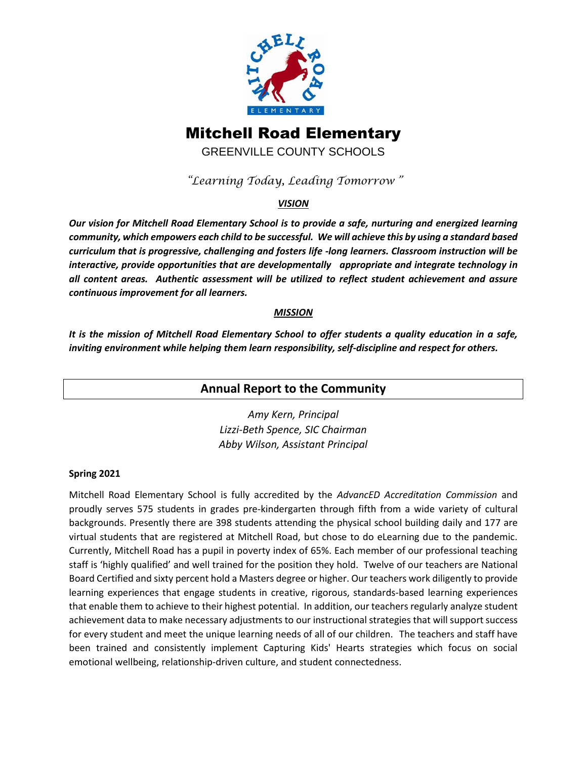

# Mitchell Road Elementary

GREENVILLE COUNTY SCHOOLS

*"Learning Today, Leading Tomorrow"*

### *VISION*

*Our vision for Mitchell Road Elementary School is to provide a safe, nurturing and energized learning community, which empowers each child to be successful. We will achieve this by using a standard based curriculum that is progressive, challenging and fosters life -long learners. Classroom instruction will be interactive, provide opportunities that are developmentally appropriate and integrate technology in all content areas. Authentic assessment will be utilized to reflect student achievement and assure continuous improvement for all learners.*

### *MISSION*

*It is the mission of Mitchell Road Elementary School to offer students a quality education in a safe, inviting environment while helping them learn responsibility, self-discipline and respect for others.*

## **Annual Report to the Community**

*Amy Kern, Principal Lizzi-Beth Spence, SIC Chairman Abby Wilson, Assistant Principal*

### **Spring 2021**

Mitchell Road Elementary School is fully accredited by the *AdvancED Accreditation Commission* and proudly serves 575 students in grades pre-kindergarten through fifth from a wide variety of cultural backgrounds. Presently there are 398 students attending the physical school building daily and 177 are virtual students that are registered at Mitchell Road, but chose to do eLearning due to the pandemic. Currently, Mitchell Road has a pupil in poverty index of 65%. Each member of our professional teaching staff is 'highly qualified' and well trained for the position they hold. Twelve of our teachers are National Board Certified and sixty percent hold a Masters degree or higher. Our teachers work diligently to provide learning experiences that engage students in creative, rigorous, standards-based learning experiences that enable them to achieve to their highest potential. In addition, our teachers regularly analyze student achievement data to make necessary adjustments to our instructional strategies that will support success for every student and meet the unique learning needs of all of our children. The teachers and staff have been trained and consistently implement Capturing Kids' Hearts strategies which focus on social emotional wellbeing, relationship-driven culture, and student connectedness.